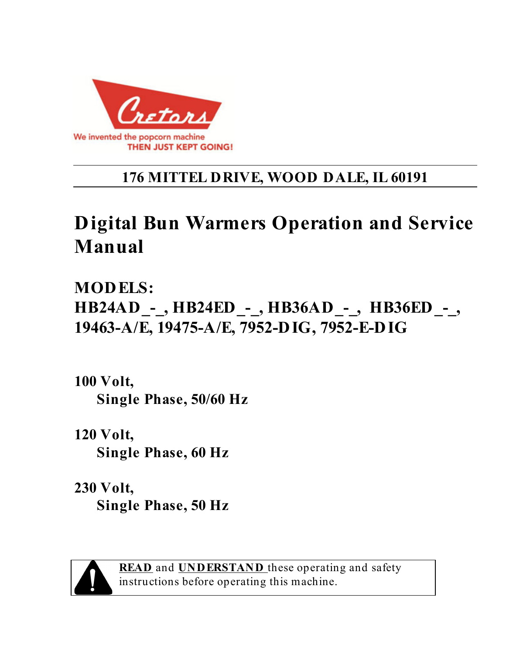

## **176 MITTEL DRIVE, WOOD DALE, IL 60191**

# **Digital Bun Warmers Operation and Service Manual**

**MODELS: HB24AD\_-\_, HB24ED\_-\_, HB36AD\_-\_, HB36ED\_-\_, 19463-A/E, 19475-A/E, 7952-DIG, 7952-E-DIG** 

**100 Volt, Single Phase, 50/60 Hz** 

**120 Volt, Single Phase, 60 Hz** 

**230 Volt, Single Phase, 50 Hz** 



**READ** and **UNDERSTAND** these operating and safety instructions before operating this machine.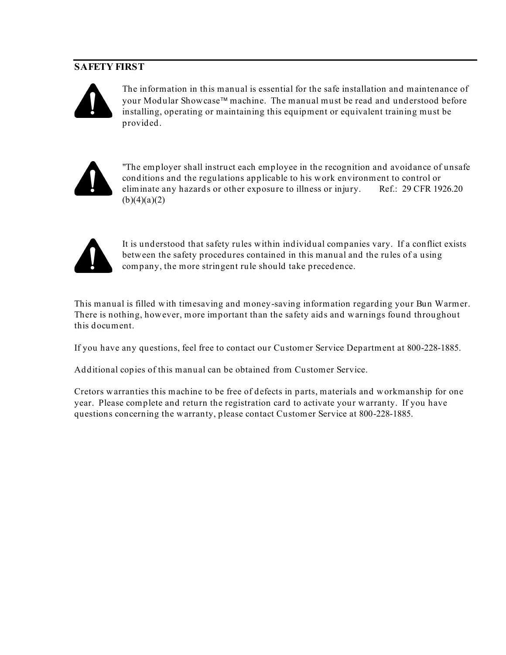#### **SAFETY FIRST**



The information in this manual is essential for the safe installation and maintenance of your Modular Showcase<sup>™</sup> machine. The manual must be read and understood before installing, operating or maintaining this equipment or equivalent training must be provided.



"The employer shall instruct each employee in the recognition and avoidance of unsafe conditions and the regulations applicable to his work environment to control or eliminate any hazards or other exposure to illness or injury. Ref.: 29 CFR 1926.20  $(b)(4)(a)(2)$ 



It is understood that safety rules within individual companies vary. If a conflict exists between the safety procedures contained in this manual and the rules of a using company, the more stringent rule should take precedence.

This manual is filled with timesaving and money-saving information regarding your Bun Warmer. There is nothing, however, more important than the safety aids and warnings found throughout this document.

If you have any questions, feel free to contact our Customer Service Department at 800-228-1885.

Additional copies of this manual can be obtained from Customer Service.

Cretors warranties this machine to be free of defects in parts, materials and workmanship for one year. Please complete and return the registration card to activate your warranty. If you have questions concerning the warranty, please contact Customer Service at 800-228-1885.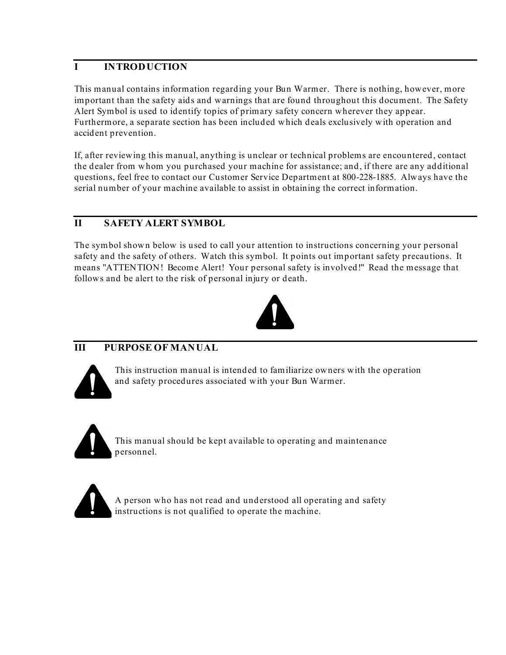#### **I INTRODUCTION**

This manual contains information regarding your Bun Warmer. There is nothing, however, more important than the safety aids and warnings that are found throughout this document. The Safety Alert Symbol is used to identify topics of primary safety concern wherever they appear. Furthermore, a separate section has been included which deals exclusively with operation and accident prevention.

If, after reviewing this manual, anything is unclear or technical problems are encountered, contact the dealer from whom you purchased your machine for assistance; and, if there are any additional questions, feel free to contact our Customer Service Department at 800-228-1885. Always have the serial number of your machine available to assist in obtaining the correct information.

#### **II SAFETY ALERT SYMBOL**

The symbol shown below is used to call your attention to instructions concerning your personal safety and the safety of others. Watch this symbol. It points out important safety precautions. It means "ATTENTION! Become Alert! Your personal safety is involved!" Read the message that follows and be alert to the risk of personal injury or death.



#### **III PURPOSE OF MANUAL**



This instruction manual is intended to familiarize owners with the operation and safety procedures associated with your Bun Warmer.





A person who has not read and understood all operating and safety instructions is not qualified to operate the machine.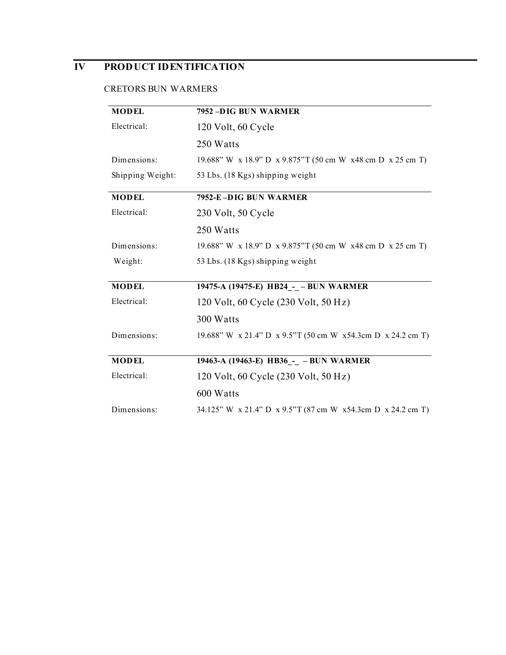### **IV PRODUCT IDENTIFICATION**

#### CRETORS BUN WARMERS

| <b>MODEL</b>     | 7952-DIG BUN WARMER                                            |
|------------------|----------------------------------------------------------------|
| Electrical:      | 120 Volt, 60 Cycle                                             |
|                  | 250 Watts                                                      |
| Dimensions:      | 19.688" W x 18.9" D x 9.875" T (50 cm W x 48 cm D x 25 cm T)   |
| Shipping Weight: | 53 Lbs. (18 Kgs) shipping weight                               |
| <b>MODEL</b>     | 7952-E-DIG BUN WARMER                                          |
| Electrical:      | 230 Volt, 50 Cycle                                             |
|                  | 250 Watts                                                      |
| Dimensions:      | 19.688" W x 18.9" D x 9.875" T (50 cm W x 48 cm D x 25 cm T)   |
| Weight:          | 53 Lbs. (18 Kgs) shipping weight                               |
|                  |                                                                |
| <b>MODEL</b>     | 19475-A (19475-E) HB24_-_ - BUN WARMER                         |
| Electrical:      | 120 Volt, 60 Cycle (230 Volt, 50 Hz)                           |
|                  | 300 Watts                                                      |
| Dimensions:      | 19.688" W x 21.4" D x 9.5"T (50 cm W x 54.3 cm D x 24.2 cm T)  |
|                  |                                                                |
| <b>MODEL</b>     | 19463-A (19463-E) HB36_-_ - BUN WARMER                         |
| Electrical:      | 120 Volt, 60 Cycle (230 Volt, 50 Hz)                           |
|                  | 600 Watts                                                      |
| Dimensions:      | 34.125" W x 21.4" D x 9.5" T (87 cm W x 54.3 cm D x 24.2 cm T) |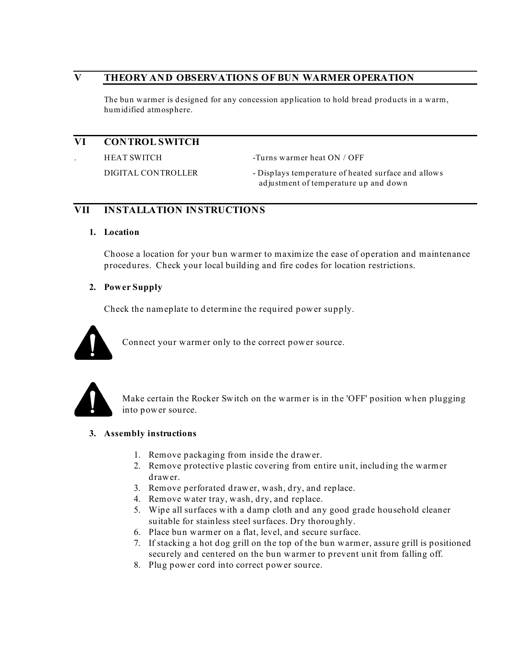#### **V THEORY AND OBSERVATIONS OF BUN WARMER OPERATION**

The bun warmer is designed for any concession application to hold bread products in a warm, humidified atmosphere.

#### **VI CONTROL SWITCH**

HEAT SWITCH -Turns warmer heat ON / OFF

DIGITAL CONTROLLER - Displays temperature of heated surface and allows adjustment of temperature up and down

#### **VII INSTALLATION INSTRUCTIONS**

#### **1. Location**

Choose a location for your bun warmer to maximize the ease of operation and maintenance procedures. Check your local building and fire codes for location restrictions.

#### **2. Power Supply**

Check the nameplate to determine the required power supply.



Connect your warmer only to the correct power source.



Make certain the Rocker Switch on the warmer is in the 'OFF' position when plugging into power source.

#### **3. Assembly instructions**

- 1. Remove packaging from inside the drawer.
- 2. Remove protective plastic covering from entire unit, including the warmer drawer.
- 3. Remove perforated drawer, wash, dry, and replace.
- 4. Remove water tray, wash, dry, and replace.
- 5. Wipe all surfaces with a damp cloth and any good grade household cleaner suitable for stainless steel surfaces. Dry thoroughly.
- 6. Place bun warmer on a flat, level, and secure surface.
- 7. If stacking a hot dog grill on the top of the bun warmer, assure grill is positioned securely and centered on the bun warmer to prevent unit from falling off.
- 8. Plug power cord into correct power source.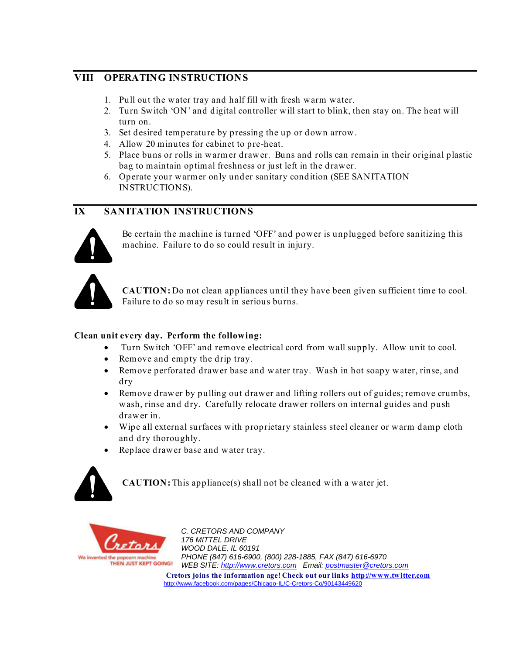#### **VIII OPERATING INSTRUCTIONS**

- 1. Pull out the water tray and half fill with fresh warm water.
- 2. Turn Switch 'ON' and digital controller will start to blink, then stay on. The heat will turn on.
- 3. Set desired temperature by pressing the up or down arrow.
- 4. Allow 20 minutes for cabinet to pre-heat.
- 5. Place buns or rolls in warmer drawer. Buns and rolls can remain in their original plastic bag to maintain optimal freshness or just left in the drawer.
- 6. Operate your warmer only under sanitary condition (SEE SANITATION INSTRUCTIONS).

#### **IX SANITATION INSTRUCTIONS**



Be certain the machine is turned 'OFF' and power is unplugged before sanitizing this machine. Failure to do so could result in injury.



**CAUTION:** Do not clean appliances until they have been given sufficient time to cool. Failure to do so may result in serious burns.

#### **Clean unit every day. Perform the following:**

- Turn Switch 'OFF' and remove electrical cord from wall supply. Allow unit to cool.
- Remove and empty the drip tray.
- Remove perforated drawer base and water tray. Wash in hot soapy water, rinse, and dry
- Remove drawer by pulling out drawer and lifting rollers out of guides; remove crumbs, wash, rinse and dry. Carefully relocate drawer rollers on internal guides and push drawer in.
- Wipe all external surfaces with proprietary stainless steel cleaner or warm damp cloth and dry thoroughly.
- Replace drawer base and water tray.



**CAUTION:** This appliance(s) shall not be cleaned with a water jet.



*C. CRETORS AND COMPANY 176 MITTEL DRIVE WOOD DALE, IL 60191 PHONE (847) 616-6900, (800) 228-1885, FAX (847) 616-6970 WEB SITE: http://www.cretors.com Email: postmaster@cretors.com*  **Cretors joins the information age! Check out our links http://www.twitter.com** http://www.facebook.com/pages/Chicago-IL/C-Cretors-Co/90143449620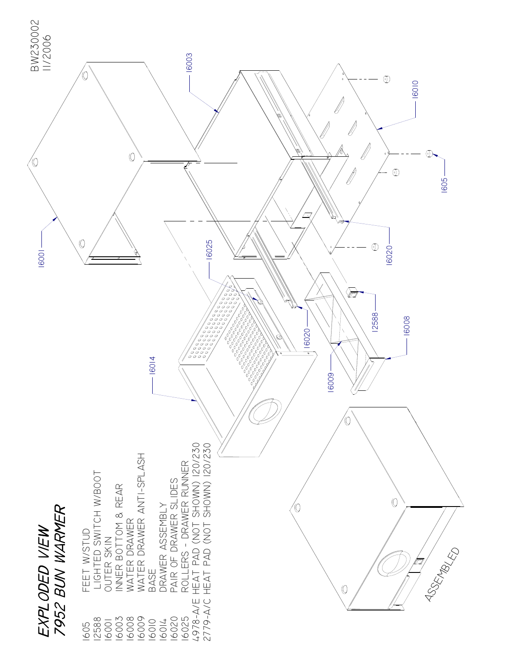